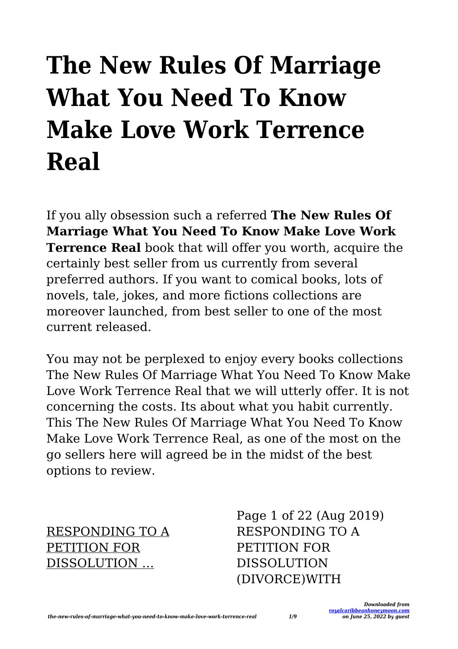# **The New Rules Of Marriage What You Need To Know Make Love Work Terrence Real**

If you ally obsession such a referred **The New Rules Of Marriage What You Need To Know Make Love Work Terrence Real** book that will offer you worth, acquire the certainly best seller from us currently from several preferred authors. If you want to comical books, lots of novels, tale, jokes, and more fictions collections are moreover launched, from best seller to one of the most current released.

You may not be perplexed to enjoy every books collections The New Rules Of Marriage What You Need To Know Make Love Work Terrence Real that we will utterly offer. It is not concerning the costs. Its about what you habit currently. This The New Rules Of Marriage What You Need To Know Make Love Work Terrence Real, as one of the most on the go sellers here will agreed be in the midst of the best options to review.

RESPONDING TO A PETITION FOR DISSOLUTION …

Page 1 of 22 (Aug 2019) RESPONDING TO A PETITION FOR DISSOLUTION (DIVORCE)WITH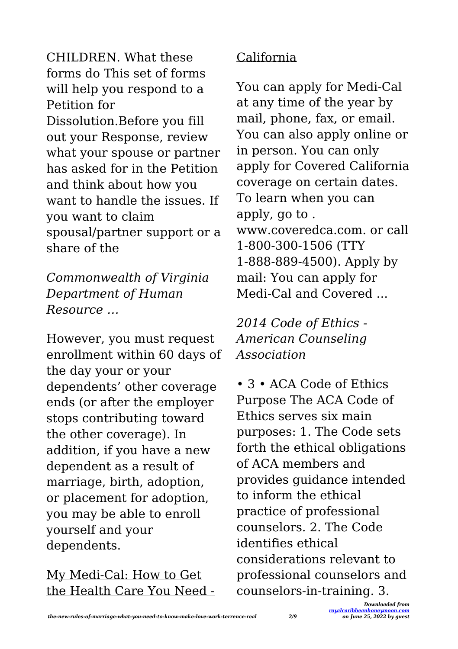CHILDREN. What these forms do This set of forms will help you respond to a Petition for Dissolution.Before you fill out your Response, review what your spouse or partner has asked for in the Petition and think about how you want to handle the issues. If you want to claim spousal/partner support or a share of the

*Commonwealth of Virginia Department of Human Resource …*

However, you must request enrollment within 60 days of the day your or your dependents' other coverage ends (or after the employer stops contributing toward the other coverage). In addition, if you have a new dependent as a result of marriage, birth, adoption, or placement for adoption, you may be able to enroll yourself and your dependents.

My Medi-Cal: How to Get the Health Care You Need -

#### California

You can apply for Medi-Cal at any time of the year by mail, phone, fax, or email. You can also apply online or in person. You can only apply for Covered California coverage on certain dates. To learn when you can apply, go to . www.coveredca.com. or call 1-800-300-1506 (TTY 1-888-889-4500). Apply by mail: You can apply for Medi-Cal and Covered

*2014 Code of Ethics - American Counseling Association*

• 3 • ACA Code of Ethics Purpose The ACA Code of Ethics serves six main purposes: 1. The Code sets forth the ethical obligations of ACA members and provides guidance intended to inform the ethical practice of professional counselors. 2. The Code identifies ethical considerations relevant to professional counselors and counselors-in-training. 3.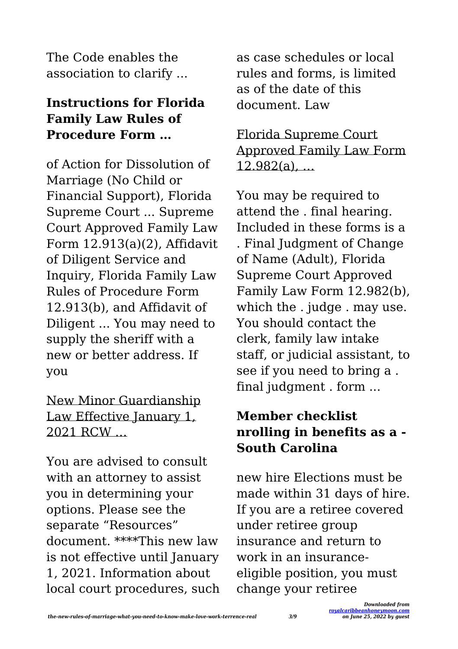The Code enables the association to clarify ...

# **Instructions for Florida Family Law Rules of Procedure Form …**

of Action for Dissolution of Marriage (No Child or Financial Support), Florida Supreme Court ... Supreme Court Approved Family Law Form 12.913(a)(2), Affidavit of Diligent Service and Inquiry, Florida Family Law Rules of Procedure Form 12.913(b), and Affidavit of Diligent ... You may need to supply the sheriff with a new or better address. If you

## New Minor Guardianship Law Effective January 1, 2021 RCW …

You are advised to consult with an attorney to assist you in determining your options. Please see the separate "Resources" document. \*\*\*\*This new law is not effective until January 1, 2021. Information about local court procedures, such as case schedules or local rules and forms, is limited as of the date of this document. Law

# Florida Supreme Court Approved Family Law Form 12.982(a), …

You may be required to attend the . final hearing. Included in these forms is a . Final Judgment of Change of Name (Adult), Florida Supreme Court Approved Family Law Form 12.982(b), which the . judge . may use. You should contact the clerk, family law intake staff, or judicial assistant, to see if you need to bring a . final judgment . form ...

# **Member checklist nrolling in benefits as a - South Carolina**

new hire Elections must be made within 31 days of hire. If you are a retiree covered under retiree group insurance and return to work in an insuranceeligible position, you must change your retiree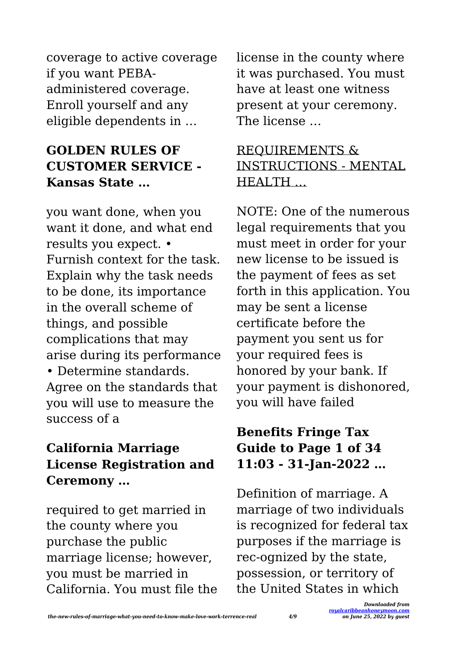coverage to active coverage if you want PEBAadministered coverage. Enroll yourself and any eligible dependents in …

# **GOLDEN RULES OF CUSTOMER SERVICE - Kansas State …**

you want done, when you want it done, and what end results you expect. • Furnish context for the task. Explain why the task needs to be done, its importance in the overall scheme of things, and possible complications that may arise during its performance • Determine standards. Agree on the standards that you will use to measure the success of a

# **California Marriage License Registration and Ceremony …**

required to get married in the county where you purchase the public marriage license; however, you must be married in California. You must file the license in the county where it was purchased. You must have at least one witness present at your ceremony. The license …

# REQUIREMENTS & INSTRUCTIONS - MENTAL HEALTH …

NOTE: One of the numerous legal requirements that you must meet in order for your new license to be issued is the payment of fees as set forth in this application. You may be sent a license certificate before the payment you sent us for your required fees is honored by your bank. If your payment is dishonored, you will have failed

# **Benefits Fringe Tax Guide to Page 1 of 34 11:03 - 31-Jan-2022 …**

Definition of marriage. A marriage of two individuals is recognized for federal tax purposes if the marriage is rec-ognized by the state, possession, or territory of the United States in which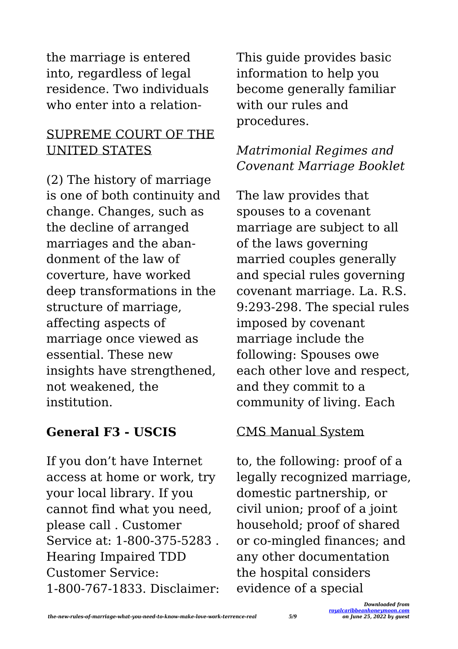the marriage is entered into, regardless of legal residence. Two individuals who enter into a relation-

#### SUPREME COURT OF THE UNITED STATES

(2) The history of marriage is one of both continuity and change. Changes, such as the decline of arranged marriages and the abandonment of the law of coverture, have worked deep transformations in the structure of marriage, affecting aspects of marriage once viewed as essential. These new insights have strengthened, not weakened, the institution.

# **General F3 - USCIS**

If you don't have Internet access at home or work, try your local library. If you cannot find what you need, please call . Customer Service at: 1-800-375-5283 . Hearing Impaired TDD Customer Service: 1-800-767-1833. Disclaimer: This guide provides basic information to help you become generally familiar with our rules and procedures.

# *Matrimonial Regimes and Covenant Marriage Booklet*

The law provides that spouses to a covenant marriage are subject to all of the laws governing married couples generally and special rules governing covenant marriage. La. R.S. 9:293-298. The special rules imposed by covenant marriage include the following: Spouses owe each other love and respect, and they commit to a community of living. Each

#### CMS Manual System

to, the following: proof of a legally recognized marriage, domestic partnership, or civil union; proof of a joint household; proof of shared or co-mingled finances; and any other documentation the hospital considers evidence of a special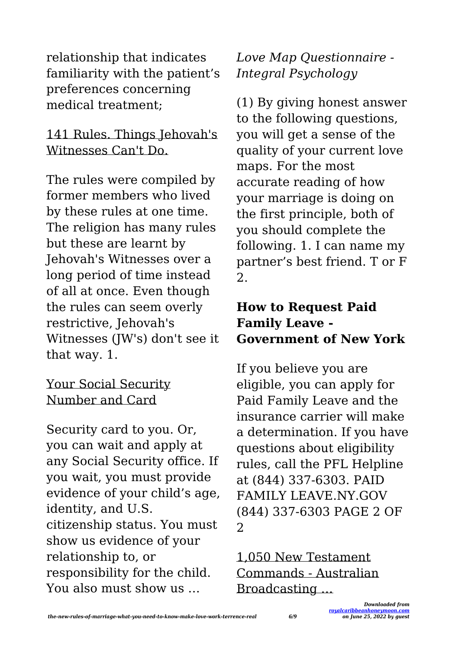relationship that indicates familiarity with the patient's preferences concerning medical treatment;

#### 141 Rules. Things Jehovah's Witnesses Can't Do.

The rules were compiled by former members who lived by these rules at one time. The religion has many rules but these are learnt by Jehovah's Witnesses over a long period of time instead of all at once. Even though the rules can seem overly restrictive, Jehovah's Witnesses (JW's) don't see it that way. 1.

#### Your Social Security Number and Card

Security card to you. Or, you can wait and apply at any Social Security office. If you wait, you must provide evidence of your child's age, identity, and U.S. citizenship status. You must show us evidence of your relationship to, or responsibility for the child. You also must show us …

*Love Map Questionnaire - Integral Psychology*

(1) By giving honest answer to the following questions, you will get a sense of the quality of your current love maps. For the most accurate reading of how your marriage is doing on the first principle, both of you should complete the following. 1. I can name my partner's best friend. T or F 2.

## **How to Request Paid Family Leave - Government of New York**

If you believe you are eligible, you can apply for Paid Family Leave and the insurance carrier will make a determination. If you have questions about eligibility rules, call the PFL Helpline at (844) 337-6303. PAID FAMILY LEAVE.NY.GOV (844) 337-6303 PAGE 2 OF 2

1,050 New Testament Commands - Australian Broadcasting …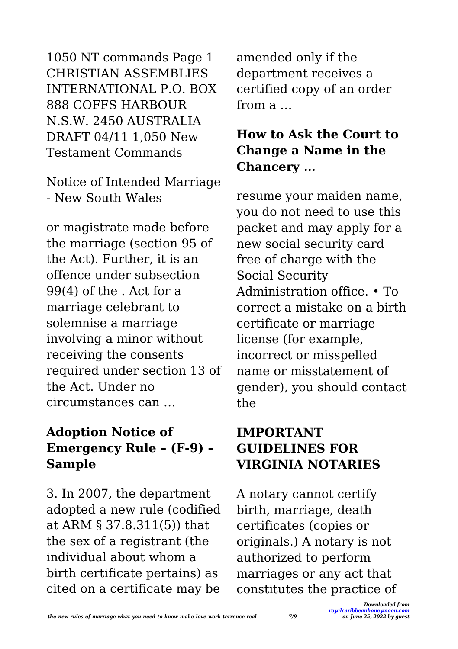1050 NT commands Page 1 CHRISTIAN ASSEMBLIES INTERNATIONAL P.O. BOX 888 COFFS HARBOUR N.S.W. 2450 AUSTRALIA DRAFT 04/11 1,050 New Testament Commands

#### Notice of Intended Marriage - New South Wales

or magistrate made before the marriage (section 95 of the Act). Further, it is an offence under subsection 99(4) of the . Act for a marriage celebrant to solemnise a marriage involving a minor without receiving the consents required under section 13 of the Act. Under no circumstances can …

# **Adoption Notice of Emergency Rule – (F-9) – Sample**

3. In 2007, the department adopted a new rule (codified at ARM § 37.8.311(5)) that the sex of a registrant (the individual about whom a birth certificate pertains) as cited on a certificate may be

amended only if the department receives a certified copy of an order from a …

# **How to Ask the Court to Change a Name in the Chancery …**

resume your maiden name, you do not need to use this packet and may apply for a new social security card free of charge with the Social Security Administration office. • To correct a mistake on a birth certificate or marriage license (for example, incorrect or misspelled name or misstatement of gender), you should contact the

# **IMPORTANT GUIDELINES FOR VIRGINIA NOTARIES**

A notary cannot certify birth, marriage, death certificates (copies or originals.) A notary is not authorized to perform marriages or any act that constitutes the practice of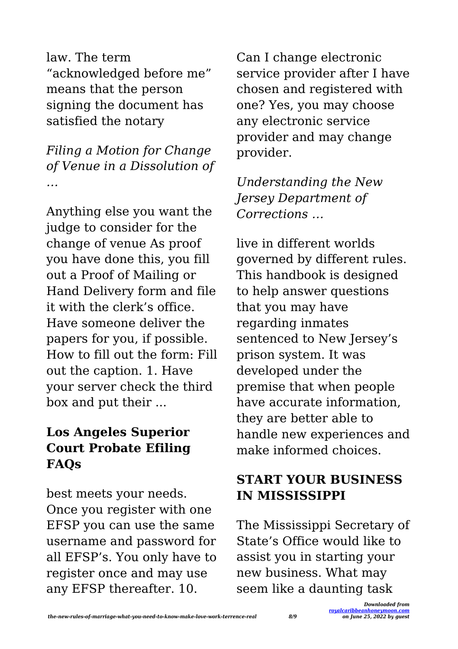law. The term "acknowledged before me" means that the person signing the document has satisfied the notary

*Filing a Motion for Change of Venue in a Dissolution of …*

Anything else you want the judge to consider for the change of venue As proof you have done this, you fill out a Proof of Mailing or Hand Delivery form and file it with the clerk's office. Have someone deliver the papers for you, if possible. How to fill out the form: Fill out the caption. 1. Have your server check the third box and put their ...

# **Los Angeles Superior Court Probate Efiling FAQs**

best meets your needs. Once you register with one EFSP you can use the same username and password for all EFSP's. You only have to register once and may use any EFSP thereafter. 10.

Can I change electronic service provider after I have chosen and registered with one? Yes, you may choose any electronic service provider and may change provider.

# *Understanding the New Jersey Department of Corrections …*

live in different worlds governed by different rules. This handbook is designed to help answer questions that you may have regarding inmates sentenced to New Jersey's prison system. It was developed under the premise that when people have accurate information, they are better able to handle new experiences and make informed choices.

# **START YOUR BUSINESS IN MISSISSIPPI**

The Mississippi Secretary of State's Office would like to assist you in starting your new business. What may seem like a daunting task